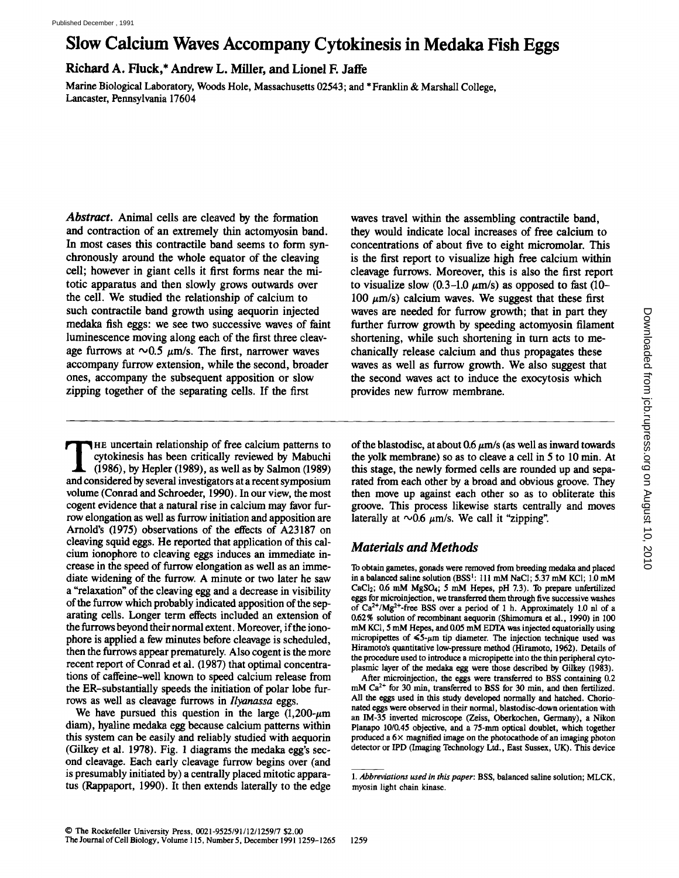# Slow Calcium Waves Accompany Cytokinesis in Medaka Fish Eggs

Richard A. Fluck,\* Andrew L. Miller, and Lionel F. Jaffe

Marine Biological Laboratory, Woods Hole, Massachusetts <sup>02543</sup> ; and \* Franklin & Marshall College, Lancaster, Pennsylvania 17604

Abstract. Animal cells are cleaved by the formation and contraction of an extremely thin actomyosin band. In most cases this contractile band seems to form synchronously around the whole equator of the cleaving cell; however in giant cells it first forms near the mitotic apparatus and then slowly grows outwards over the cell. We studied the relationship of calcium to such contractile band growth using aequorin injected medaka fish eggs: we see two successive waves of faint luminescence moving along each of the first three cleavmedaka fish eggs: we see two successive waves of fa<br>luminescence moving along each of the first three clea<br>age furrows at  $\sim 0.5 \ \mu \text{m/s}$ . The first, narrower waves<br>accompany furrow extension, while the second, broad accompany furrow extension, while the second, broader ones, accompany the subsequent apposition or slow zipping together of the separating cells. If the first

waves travel within the assembling contractile band, they would indicate local increases of free calcium to concentrations of about five to eight micromolar. This is the first report to visualize high free calcium within cleavage furrows. Moreover, this is also the first report to visualize slow (0.3-1.0  $\mu$ m/s) as opposed to fast (10-100  $\mu$ m/s) calcium waves. We suggest that these first waves are needed for furrow growth; that in part they further furrow growth by speeding actomyosin filament shortening, while such shortening in turn acts to mechanically release calcium and thus propagates these waves as well as furrow growth. We also suggest that the second waves act to induce the exocytosis which provides new furrow membrane.

THE uncertain relationship of free calcium patterns to<br>cytokinesis has been critically reviewed by Mabuchi<br>(1986), by Hepler (1989), as well as by Salmon (1989)<br>and considered by several investigators at a recent symposium HE uncertain relationship of free calcium patterns to cytokinesis has been critically reviewed by Mabuchi (1986), by Hepler (1989), as well as by Salmon (1989) volume (Conrad and Schroeder, 1990). In our view, the most cogent evidence that a natural rise in calcium may favor furrow elongation as well as furrow initiation and apposition are Arnold's (1975) observations of the effects of A23187 on cleaving squid eggs. He reported that application of this calcium ionophore to cleaving eggs induces an immediate increase in the speed of furrow elongation as well as an immediate widening of the furrow. A minute or two later he saw a "relaxation" of the cleaving egg and a decrease in visibility of the furrow which probably indicated apposition of the separating cells. Longer term effects included an extension of the furrows beyond their normal extent. Moreover, if the ionophore is applied a few minutes before cleavage is scheduled, then the furrows appear prematurely. Also cogent is the more recent report of Conrad et al. (1987) that optimal concentrations of caffeine-well known to speed calcium release from the ER-substantially speeds the initiation of polar lobe furrows as well as cleavage furrows in Ilyanassa eggs.

We have pursued this question in the large  $(1,200-\mu m)$ diam), hyaline medaka egg because calcium patterns within this system can be easily and reliably studied with aequorin (Gilkey et al. 1978). Fig. 1 diagrams the medaka egg's second cleavage . Each early cleavage furrow begins over (and is presumably initiated by) a centrally placed mitotic apparatus (Rappaport, 1990) . It then extends laterally to the edge of the blastodisc, at about 0.6  $\mu$ m/s (as well as inward towards the yolk membrane) so as to cleave a cell in 5 to 10 min. At this stage, the newly formed cells are rounded up and separated from each other by a broad and obvious groove. They then move up against each other so as to obliterate this groove. This process likewise starts centrally and moves laterally at  $\sim 0.6 \mu m/s$ . We call it "zipping".

## Materials and Methods

To obtain gametes, gonads were removed from breeding medaka and placed in a balanced saline solution (BSS<sup>1</sup>: 111 mM NaCl; 5.37 mM KCl; 1.0 mM  $CaCl<sub>2</sub>$ ; 0.6 mM MgSO<sub>4</sub>; 5 mM Hepes, pH 7.3). To prepare unfertilized eggs for microinjection, we transferred them through five successive washes of  $Ca^{2+}/Mg^{2+}$ -free BSS over a period of 1 h. Approximately 1.0 nl of a 0.62% solution of recombinant aequorin (Shimomura et al., 1990) in 100 mM KCI, 5mM Hepes, and 0.05 mM EDTA was injected equatorially using micropipettes of  $\leq 5$ - $\mu$ m tip diameter. The injection technique used was Hiramoto's quantitative low-pressure method (Hiramoto, 1962). Details of the procedure used to introduce a micropipette into the thin peripheral cytoplasmic layer of the medaka egg were those described by Gilkey (1983) . When the redect for furrow growth; that in part they consider the most shortening, while such shortening in turn acts to mechanically release calcium and thus propagates these conditions are second waves act to induce the

After microinjection, the eggs were transferred to BSS containing 0.2  $mM Ca<sup>2+</sup>$  for 30 min, transferred to BSS for 30 min, and then fertilized. All the eggs used in this study developed normally and hatched. Chorionated eggs were observed in their normal, blastodisc-down orientation with an IM-35 inverted microscope (Zeiss, Oberkochen, Germany), a Nikon Planapo 10/0.45 objective, and <sup>a</sup> 75-mm optical doublet, which together produced a  $6 \times$  magnified image on the photocathode of an imaging photon detector or IPD (Imaging Technology Ltd ., East Sussex, UK). This device

<sup>1.</sup> Abbreviations used in this paper: BSS, balanced saline solution; MLCK, myosin light chain kinase.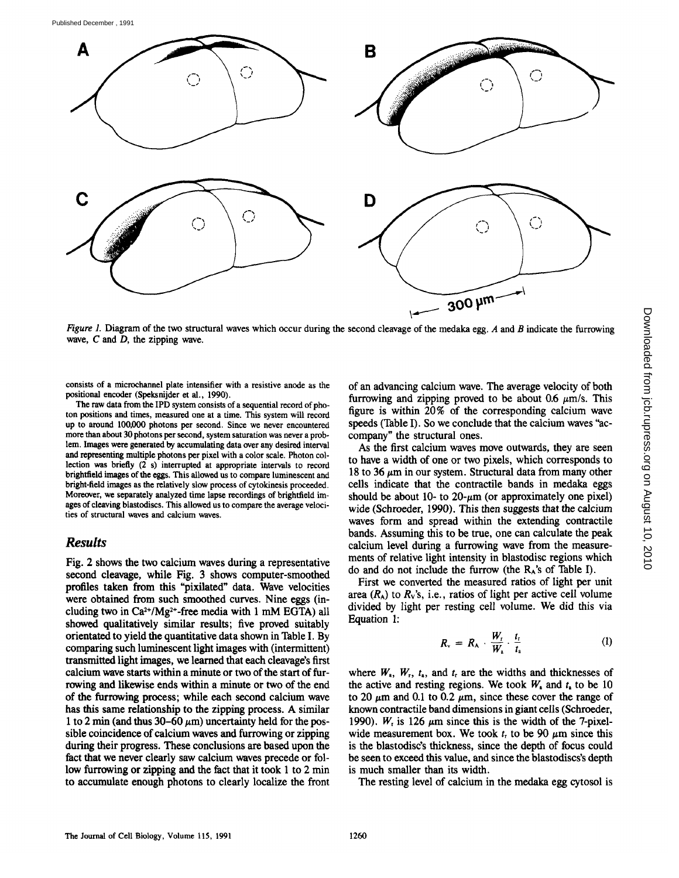

Figure 1. Diagram of the two structural waves which occur during the second cleavage of the medaka egg. A and B indicate the furrowing wave,  $C$  and  $D$ , the zipping wave.

consists of a microchannel plate intensifier with a resistive anode as the positional encoder (Speksnijder et al., 1990).

The raw data from the IPD system consists of a sequential record of photon positions and times, measured one at a time. This system will record up to around 100,000 photons per second. Since we never encountered more than about 30 photons per second, system saturation was never a problem. Images were generated by accumulating data over any desired interval and representing multiple photons per pixel with a color scale. Photon collection was briefly (2 s) interrupted at appropriate intervals to record brightfield images of the eggs. This allowed us to compare luminescent and bright-field images as the relatively slow process of cytokinesis proceeded . Moreover, we separately analyzed time lapse recordings of brightfield images of cleaving blastodiscs. This allowed us to compare the average velocities of structural waves and calcium waves .

### Results

Fig. 2 shows the two calcium waves during a representative second cleavage, while Fig. 3 shows computer-smoothed profiles taken from this "pixilated" data. Wave velocities were obtained from such smoothed curves. Nine eggs (including two in  $Ca^{2+}/Mg^{2+}$ -free media with 1 mM EGTA) all showed qualitatively similar results; five proved suitably orientated to yield the quantitative data shown in Table I. By comparing such luminescent light images with (intermittent) transmitted light images, we learned that each cleavage's first calcium wave starts within a minute or two of the start of furrowing and likewise ends within a minute or two of the end of the furrowing process; while each second calcium wave has this same relationship to the zipping process . A similar 1 to 2 min (and thus 30–60  $\mu$ m) uncertainty held for the possible coincidence of calcium waves and furrowing or zipping during their progress. These conclusions are based upon the fact that we never clearly saw calcium waves precede or follow furrowing or zipping and the fact that it took <sup>1</sup> to 2 min to accumulate enough photons to clearly localize the front of an advancing calcium wave. The average velocity of both furrowing and zipping proved to be about 0.6  $\mu$ m/s. This figure is within 20% of the corresponding calcium wave speeds (Table I) . So we conclude that the calcium waves "accompany" the structural ones.

As the first calcium waves move outwards, they are seen to have a width of one or two pixels, which corresponds to 18 to 36  $\mu$ m in our system. Structural data from many other cells indicate that the contractile bands in medaka eggs should be about 10- to  $20-\mu m$  (or approximately one pixel) wide (Schroeder, 1990). This then suggests that the calcium waves form and spread within the extending contractile bands. Assuming this to be true, one can calculate the peak calcium level during a furrowing wave from the measurements of relative light intensity in blastodisc regions which do and do not include the furrow (the  $R_A$ 's of Table I).

First we converted the measured ratios of light per unit area  $(R_A)$  to  $R_V$ 's, i.e., ratios of light per active cell volume divided by light per resting cell volume. We did this via Equation 1:

$$
R_{\rm v} = R_{\rm A} \cdot \frac{W_{\rm r}}{W_{\rm a}} \cdot \frac{t_{\rm r}}{t_{\rm a}} \tag{1}
$$

where  $W_a$ ,  $W_r$ ,  $t_a$ , and  $t_f$  are the widths and thicknesses of the active and resting regions. We took  $W_a$  and  $t_a$  to be 10 to 20  $\mu$ m and 0.1 to 0.2  $\mu$ m, since these cover the range of known contractile band dimensions in giant cells (Schroeder, 1990).  $W_r$  is 126  $\mu$ m since this is the width of the 7-pixelwide measurement box. We took  $t<sub>r</sub>$  to be 90  $\mu$ m since this is the blastodisc's thickness, since the depth of focus could be seento exceed this value, and since the blastodiscs's depth is much smaller than its width.

The resting level of calcium in the medaka egg cytosol is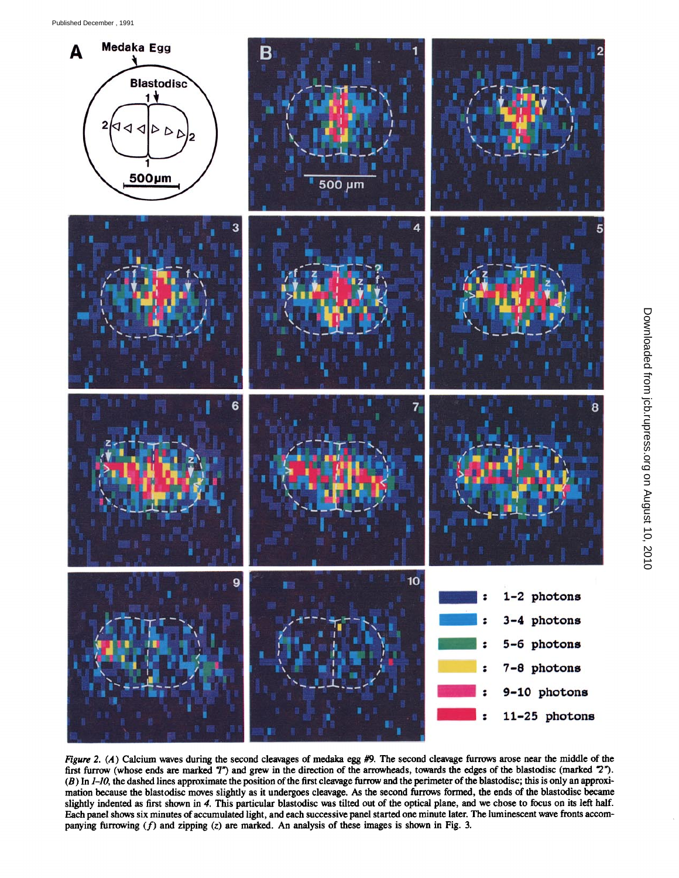

Figure 2. (A) Calcium waves during the second cleavages of medaka egg  $#9$ . The second cleavage furrows arose near the middle of the first furrow (whose ends are marked 7") and grew in the direction of the arrowheads, towards the edges of the blastodisc (marked °2") .  $(B)$  In  $I$ -10, the dashed lines approximate the position of the first cleavage furrow and the perimeter of the blastodisc; this is only an approximation because the blastodisc moves slightly as it undergoes cleavage. As the second furrows formed, the ends of the blastodisc became slightly indented as first shown in 4. This particular blastodisc was tilted out of the optical plane, and we chose to focus on its left half. Each panel shows six minutes of accumulated light, and each successive panel started one minute later. The luminescent wave fronts accompanying furrowing  $(f)$  and zipping  $(z)$  are marked. An analysis of these images is shown in Fig. 3.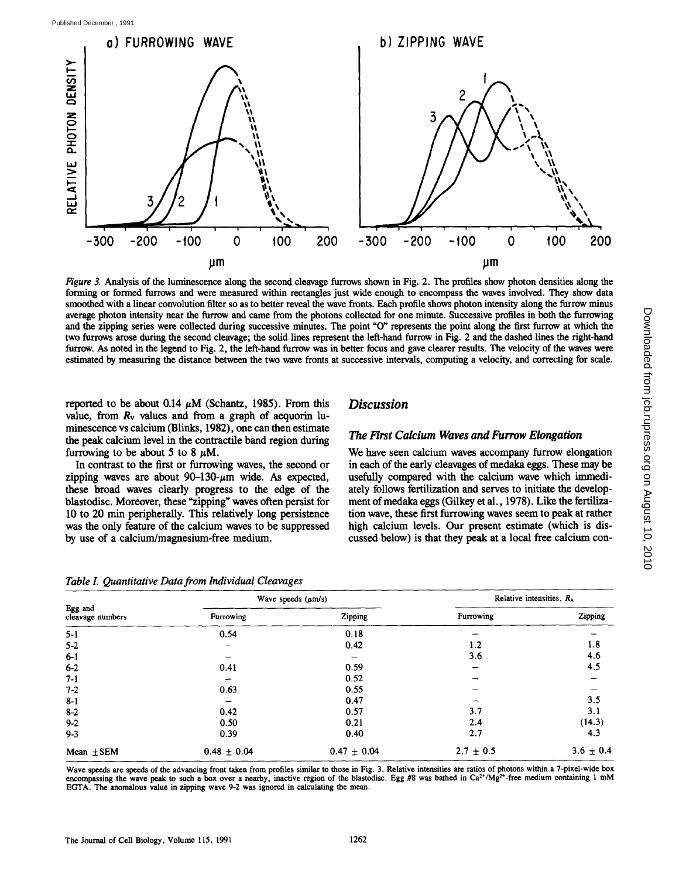

Figure 3. Analysis of the luminescence along the second cleavage furrows shown in Fig. 2. The profiles show photon densities along the forming or formed furrows and were measured within rectangles just wide enough to encompass the waves involved. They show data smoothed with <sup>a</sup> linear convolution filter so as to better reveal the wave fronts . Each profile show photon intensity along the furrow minus average photon intensity near the furrow and came from the photons collected for one minute. Successive profiles in both the furrowing and the zipping series were collected during successive minutes. The point "O" represents the point along the first furrow at which the two furrows arose during the second cleavage ; the solid lines represent the left-hand furrow in Fig. 2 and the dashed lines the right-hand furrow. As noted in the legend to Fig. 2, the left-hand furrow was in better focus and gave clearer results. The velocity of the waves were estimated by measuring the distance between the two wave fronts at successive intervals, computing a velocity, and correcting for scale .

Discussion

The First Calcium Waves and Furrow Elongation

We have seen calcium waves accompany furrow elongation in each of the early cleavages of medaka eggs. These may be usefully compared with the calcium wave which immediately follows fertilization and serves to initiate the development of medaka eggs (Gilkey et al., 1978). Like the fertilization wave, these first furrowing waves seem to peak at rather high calcium levels. Our present estimate (which is discussed below) is that they peak at a local free calcium con-

reported to be about 0.14  $\mu$ M (Schantz, 1985). From this value, from  $R_v$  values and from a graph of aequorin luminescence vs calcium (Blinks, 1982), one can then estimate the peak calcium level in the contractile band region during furrowing to be about 5 to 8  $\mu$ M.

In contrast to the first or furrowing waves, the second or zipping waves are about  $90-130-\mu m$  wide. As expected, these broad waves clearly progress to the edge of the blastodisc. Moreover, these "zipping" waves often persist for 10 to 20 min peripherally. This relatively long persistence was the only feature of the calcium waves to be suppressed by use of a calcium/magnesium-free medium.

### Table I. Quantitative Data from Individual Cleavages

#### Relative intensities,  $R_{\star}$ Wave speeds  $(\mu m/s)$ Egg and Furrowing Zipping cleavage numbers Furrowing Zipping  $\overline{a}$  $\overline{\phantom{0}}$ 5-1 0.54 0.18  $5-2$  1.2 1.8  $3.6$   $4.6$  $6-2$  0.41 0.59 - 4.5  $7-1$  0.52 - 0.52  $7.2$  0.63 0.55 -  $\frac{1}{2}$  $8-1$  0.47  $\qquad \qquad -3.5$  $8-2$  0.42 0.57 3.1 3.1  $9.2$  0.50 0.21 2.4 (14.3)  $9.3$  0.39 0.40 2.7 4.3 Mean  $\pm$ SEM 0.48  $\pm$  0.04 0.47  $\pm$  0.04 2.7  $\pm$  0.5 3.6  $\pm$  0.4

Wave speeds are speeds of the advancing front taken from profiles similar to those in Fig 3. Relative intensities are ratios of photons within a 7-pixel-wide box encompassing the wave peak to such a box over a nearby, inactive region of the blastodisc. Egg  $#8$  was bathed in Ca<sup>2+</sup>/Mg<sup>2+</sup>-free medium containing 1 mM EGTA. The anomalous value in zipping wave 9-2 was ignored in calculating the mean.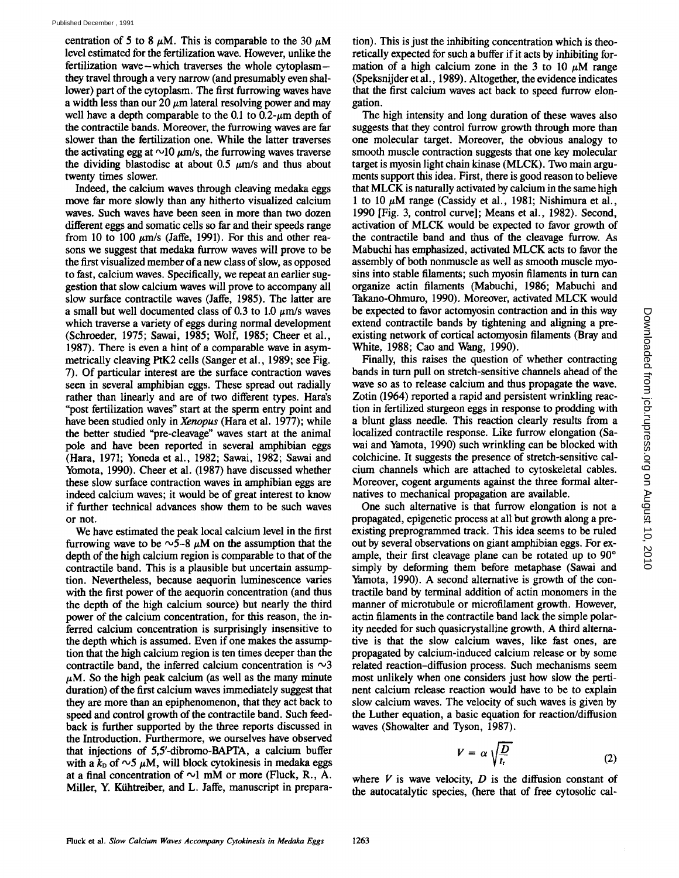centration of 5 to 8  $\mu$ M. This is comparable to the 30  $\mu$ M level estimated for the fertilization wave. However, unlike the fertilization wave-which traverses the whole cytoplasmthey travel through a very narrow (and presumably even shallower) part of the cytoplasm. The first furrowing waves have a width less than our 20  $\mu$ m lateral resolving power and may well have a depth comparable to the 0.1 to 0.2- $\mu$ m depth of the contractile bands. Moreover, the furrowing waves are far slower than the fertilization one. While the latter traverses the activating egg at  $\sim$ 10  $\mu$ m/s, the furrowing waves traverse the dividing blastodisc at about 0.5  $\mu$ m/s and thus about twenty times slower.

Indeed, the calcium waves through cleaving medaka eggs move far more slowly than any hitherto visualized calcium waves. Such waves have been seen in more than two dozen different eggs and somatic cells so far and their speeds range from 10 to 100  $\mu$ m/s (Jaffe, 1991). For this and other reasons we suggest that medaka furrow waves will prove to be the first visualized member of a new class of slow, as opposed to fast, calcium waves. Specifically, we repeat an earlier suggestion that slow calcium waves will prove to accompany all slow surface contractile waves (Jaffe, 1985). The latter are a small but well documented class of 0.3 to 1.0  $\mu$ m/s waves which traverse a variety of eggs during normal development (Schroeder, 1975; Sawai, 1985; Wolf, 1985; Cheer et al ., 1987). There is even a hint of a comparable wave in asymmetrically cleaving PtK2 cells (Sanger et al., 1989; see Fig. 7) . Of particular interest are the surface contraction waves seen in several amphibian eggs. These spread out radially rather than linearly and are of two different types. Hara's "post fertilization waves" start at the sperm entry point and have been studied only in Xenopus (Hara et al. 1977); while the better studied "pre-cleavage" waves start at the animal pole and have been reported in several amphibian eggs (Hara, 1971; Yoneda et al., 1982; Sawai, 1982; Sawai and Yomota, 1990). Cheer et al. (1987) have discussed whether these slow surface contraction waves in amphibian eggs are indeed calcium waves; it would be of great interest to know if further technical advances show them to be such waves or not.

We have estimated the peak local calcium level in the first furrowing wave to be  $\sim$  5-8  $\mu$ M on the assumption that the depth of the high calcium region is comparable to that of the contractile band. This is a plausible but uncertain assumption. Nevertheless, because aequorin luminescence varies with the first power of the aequorin concentration (and thus the depth of the high calcium source) but nearly the third power of the calcium concentration, for this reason, the inferred calcium concentration is surprisingly insensitive to the depth which is assumed. Even if one makes the assumption that the high calcium region is ten times deeper than the contractile band, the inferred calcium concentration is  $\sim$ 3  $\mu$ M. So the high peak calcium (as well as the many minute duration) of the first calcium waves immediately suggest that they are more than an epiphenomenon, that they act back to speed and control growth of the contractile band. Such feedback is further supported by the three reports discussed in the Introduction. Furthermore, we ourselves have observed that injections of 5,5'-dibromo-BAPTA, a calcium buffer with a  $k_D$  of  $\sim$ 5  $\mu$ M, will block cytokinesis in medaka eggs at a final concentration of  $\sim$ 1 mM or more (Fluck, R., A. Miller, Y. Kühtreiber, and L. Jaffe, manuscript in prepara-

tion) . This is just the inhibiting concentration which is theoretically expected for such a buffer if it acts by inhibiting formation of a high calcium zone in the 3 to 10  $\mu$ M range (Speksnijder etal ., 1989). Altogether, the evidence indicates that the first calcium waves act back to speed furrow elongation.

The high intensity and long duration of these waves also suggests that they control furrow growth through more than one molecular target. Moreover, the obvious analogy to smooth muscle contraction suggests that one key molecular target is myosin light chain kinase (MLCK). Two main arguments support this idea. First, there is good reason to believe that MLCK is naturally activated by calcium in the same high 1 to 10  $\mu$ M range (Cassidy et al., 1981; Nishimura et al., 1990 [Fig. 3, control curve]; Means et al., 1982). Second, activation of MLCK would be expected to favor growth of the contractile band and thus of the cleavage furrow. As Mabuchi has emphasized, activated MLCK acts to favor the assembly of both nonmuscle as well as smooth muscle myosins into stable filaments; such myosin filaments in turn can organize actin filaments (Mabuchi, 1986; Mabuchi and Takano-Ohmuro, 1990). Moreover, activated MLCK would be expected to favor actomyosin contraction and in this way extend contractile bands by tightening and aligning a preexisting network of cortical actomyosin filaments (Bray and White, 1988; Cao and Wang, 1990).

Finally, this raises the question of whether contracting bands in turn pull on stretch-sensitive channels ahead of the wave so as to release calcium and thus propagate the wave. Zotin (1964) reported a rapid and persistent wrinkling reaction in fertilized sturgeon eggs in response to prodding with a blunt glass needle. This reaction clearly results from a localized contractile response. Like furrow elongation (Sawai and Yamota, 1990) such wrinkling can be blocked with colchicine. It suggests the presence of stretch-sensitive calcium channels which are attached to cytoskeletal cables. Moreover, cogent arguments against the three formal alternatives to mechanical propagation are available.

One such alternative is that furrow elongation is not a propagated, epigenetic process at all but growth along a preexisting preprogrammed track. This idea seems to be ruled out by several observations on giant amphibian eggs. For example, their first cleavage plane can be rotated up to 90° simply by deforming them before metaphase (Sawai and Yamota, 1990) . A second alternative is growth of the contractile band by terminal addition of actin monomers in the manner of microtubule or microfilament growth. However, actin filaments in the contractile band lack the simple polarity needed for such quasicrystalline growth . A third alternative is that the slow calcium waves, like fast ones, are propagated by calcium-induced calcium release or by some related reaction-diffusion process . Such mechanisms seem most unlikely when one considers just how slow the pertinent calcium release reaction would have to be to explain slow calcium waves. The velocity of such waves is given by the Luther equation, a basic equation for reaction/diffusion waves (Showalter and Tyson, 1987).

$$
V = \alpha \sqrt{\frac{D}{t_{\rm r}}} \tag{2}
$$

where  $V$  is wave velocity,  $D$  is the diffusion constant of the autocatalytic species, (here that of free cytosolic cal-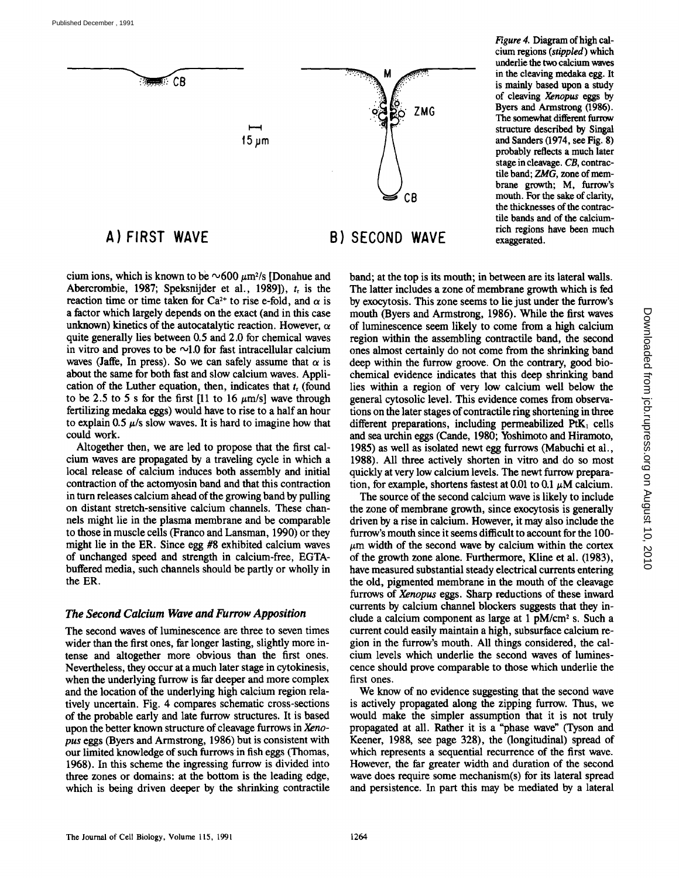

# A) FIRST WAVE

cium ions, which is known to be  $\sim 600 \ \mu m^2$ /s [Donahue and Abercrombie, 1987; Speksnijder et al., 1989]),  $t<sub>r</sub>$  is the reaction time or time taken for Ca<sup>2+</sup> to rise e-fold, and  $\alpha$  is a factor which largely depends on the exact (and in this case unknown) kinetics of the autocatalytic reaction. However,  $\alpha$ quite generally lies between 0.5 and 2 .0 for chemical waves in vitro and proves to be  $\sim$ 1.0 for fast intracellular calcium waves (Jaffe, In press). So we can safely assume that  $\alpha$  is about the same for both fast and slow calcium waves. Application of the Luther equation, then, indicates that  $t<sub>r</sub>$  (found to be 2.5 to 5 s for the first [11 to 16  $\mu$ m/s] wave through fertilizing medaka eggs) would have to rise to a half an hour to explain 0.5  $\mu$ /s slow waves. It is hard to imagine how that could work.

Altogether then, we are led to propose that the first calcium waves are propagated by a traveling cycle in which a local release of calcium induces both assembly and initial contraction of the actomyosin band and that this contraction in turn releases calcium ahead of the growing band by pulling on distant stretch-sensitive calcium channels. These channels might lie in the plasma membrane and be comparable to those in muscle cells (Franco and Lansman, 1990) or they might lie in the ER. Since egg #8 exhibited calcium waves of unchanged speed and strength in calcium-free, EGTAbuffered media, such channels should be partly or wholly in the ER.

### The Second Calcium Wave and Furrow Apposition

The second waves of luminescence are three to seven times wider than the first ones, far longer lasting, slightly more intense and altogether more obvious than the first ones. Nevertheless, they occur at a much later stage in cytokinesis, when the underlying furrow is far deeper and more complex and the location of the underlying high calcium region relatively uncertain. Fig. 4 compares schematic cross-sections of the probable early and late furrow structures . It is based upon the better known structure of cleavage furrows in Xenopus eggs (Byers and Armstrong, 1986) but is consistent with our limited knowledge of such furrows in fish eggs (Thomas, 1968) . In this scheme the ingressing furrow is divided into three zones or domains: at the bottom is the leading edge, which is being driven deeper by the shrinking contractile

# B) SECOND WAVE

Figure 4. Diagram of high calcium regions (stippled) which underlie the two calcium waves in the cleaving medaka egg. It is mainly based upon a study of cleaving Xenopus eggs by Byers and Armstrong (1986) . The somewhat different furrow structure described by Singal and Sanders (1974, see Fig. 8) probably reflects <sup>a</sup> much later stage in cleavage. CB, contractile band; ZMG, zone of membrane growth; M, furrow's mouth. For the sake of clarity, the thicknesses of the contractile bands and of the calciumregions have been much exaggerated.

band; at the top is its mouth; in between are its lateral walls. The latter includes a zone of membrane growth which is fed by exocytosis. This zone seems to lie just under the furrow's mouth (Byers and Armstrong, 1986). While the first waves of luminescence seem likely to come from a high calcium region within the assembling contractile band, the second ones almost certainly do not come from the shrinking band deep within the furrow groove. On the contrary, good biochemical evidence indicates that this deep shrinking band lies within a region of very low calcium well below the general cytosolic level. This evidence comes from observations on the later stages of contractile ring shortening in three different preparations, including permeabilized  $PtK_1$  cells and sea urchin eggs (Carde, 1980; Yoshimoto and Hiramoto, 1985) as well as isolated newt egg furrows (Mabuchi et al ., 1988). All three actively shorten in vitro and do so most quickly at very low calcium levels . The newt furrow preparation, for example, shortens fastest at 0.01 to 0.1  $\mu$ M calcium.

The source of the second calcium wave is likely to include the zone of membrane growth, since exocytosis is generally driven by a rise in calcium . However, it may also include the furrow's mouth since it seems difficult to account for the 100-  $\mu$ m width of the second wave by calcium within the cortex of the growth zone alone. Furthermore, Kline et al. (1983), have measured substantial steady electrical currents entering the old, pigmented membrane in the mouth of the cleavage furrows of Xenopus eggs. Sharp reductions of these inward currents by calcium channel blockers suggests that they include a calcium component as large at  $1 \text{ pM/cm}^2$  s. Such a current could easily maintain a high, subsurface calcium region in the furrow's mouth. All things considered, the calcium levels which underlie the second waves of luminescence should prove comparable to those which underlie the first ones.

We know of no evidence suggesting that the second wave is actively propagated along the zipping furrow. Thus, we would make the simpler assumption that it is not truly propagated at all. Rather it is a "phase wave" (Tyson and Keener, 1988, see page 328), the (longitudinal) spread of which represents a sequential recurrence of the first wave. However, the far greater width and duration of the second wave does require some mechanism(s) for its lateral spread and persistence. In part this may be mediated by a lateral